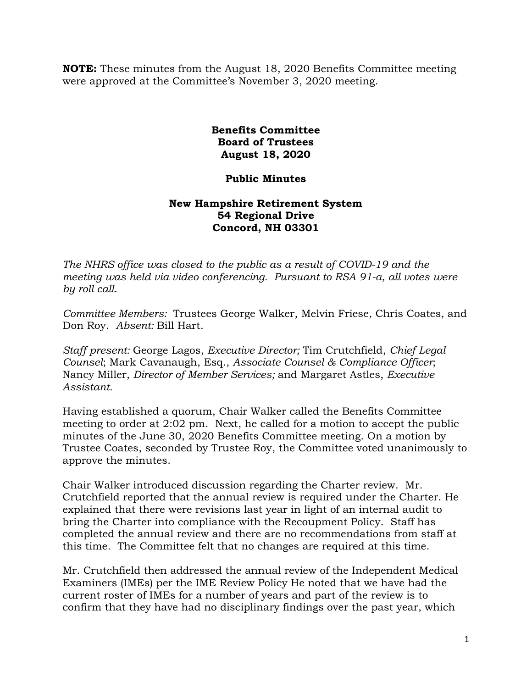**NOTE:** These minutes from the August 18, 2020 Benefits Committee meeting were approved at the Committee's November 3, 2020 meeting.

> **Benefits Committee Board of Trustees August 18, 2020**

## **Public Minutes**

## **New Hampshire Retirement System 54 Regional Drive Concord, NH 03301**

*The NHRS office was closed to the public as a result of COVID-19 and the meeting was held via video conferencing. Pursuant to RSA 91-a, all votes were by roll call.*

*Committee Members:* Trustees George Walker, Melvin Friese, Chris Coates, and Don Roy. *Absent:* Bill Hart.

*Staff present:* George Lagos, *Executive Director;* Tim Crutchfield, *Chief Legal Counsel*; Mark Cavanaugh, Esq., *Associate Counsel & Compliance Officer*; Nancy Miller, *Director of Member Services;* and Margaret Astles, *Executive Assistant.* 

Having established a quorum, Chair Walker called the Benefits Committee meeting to order at 2:02 pm. Next, he called for a motion to accept the public minutes of the June 30, 2020 Benefits Committee meeting. On a motion by Trustee Coates, seconded by Trustee Roy, the Committee voted unanimously to approve the minutes.

Chair Walker introduced discussion regarding the Charter review. Mr. Crutchfield reported that the annual review is required under the Charter. He explained that there were revisions last year in light of an internal audit to bring the Charter into compliance with the Recoupment Policy. Staff has completed the annual review and there are no recommendations from staff at this time. The Committee felt that no changes are required at this time.

Mr. Crutchfield then addressed the annual review of the Independent Medical Examiners (IMEs) per the IME Review Policy He noted that we have had the current roster of IMEs for a number of years and part of the review is to confirm that they have had no disciplinary findings over the past year, which